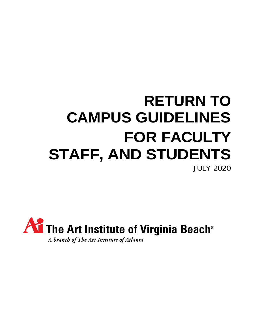# **RETURN TO CAMPUS GUIDELINES FOR FACULTY STAFF, AND STUDENTS** JULY 2020

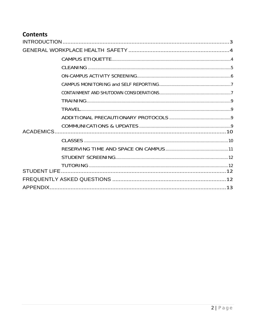### **Contents**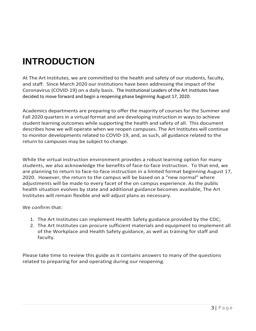## <span id="page-2-0"></span>**INTRODUCTION**

At The Art Institutes, we are committed to the health and safety of our students, faculty, and staff. Since March 2020 our institutions have been addressing the impact of the Coronavirus (COVID-19) on a daily basis. The Institutional Leaders of the Art Institutes have decided to move forward and begin a reopening phase beginning August 17, 2020.

Academics departments are preparing to offer the majority of courses for the Summer and Fall 2020 quarters in a virtual format and are developing instruction in ways to achieve student learning outcomes while supporting the health and safety of all. This document describes how we will operate when we reopen campuses. The Art Institutes will continue to monitor developments related to COVID-19, and, as such, all guidance related to the return to campuses may be subject to change.

While the virtual instruction environment provides a robust learning option for many students, we also acknowledge the benefits of face-to-face instruction. To that end, we are planning to return to face-to-face instruction in a limited format beginning August 17, 2020. However, the return to the campus will be based on a "new normal" where adjustments will be made to every facet of the on campus experience. As the public health situation evolves by state and additional guidance becomes available, The Art Institutes will remain flexible and will adjust plans as necessary.

We confirm that:

- 1. The Art Institutes can implement Health Safety guidance provided by the CDC;
- 2. The Art Institutes can procure sufficient materials and equipment to implement all of the Workplace and Health Safety guidance, as well as training for staff and faculty.

Please take time to review this guide as it contains answers to many of the questions related to preparing for and operating during our reopening.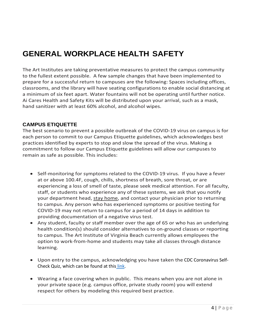## <span id="page-3-0"></span>**GENERAL WORKPLACE HEALTH SAFETY**

The Art Institutes are taking preventative measures to protect the campus community to the fullest extent possible. A few sample changes that have been implemented to prepare for a successful return to campuses are the following: Spaces including offices, classrooms, and the library will have seating configurations to enable social distancing at a minimum of six feet apart. Water fountains will not be operating until further notice. Ai Cares Health and Safety Kits will be distributed upon your arrival, such as a mask, hand sanitizer with at least 60% alcohol, and alcohol wipes.

#### <span id="page-3-1"></span>**CAMPUS ETIQUETTE**

The best scenario to prevent a possible outbreak of the COVID-19 virus on campus is for each person to commit to our Campus Etiquette guidelines, which acknowledges best practices identified by experts to stop and slow the spread of the virus. Making a commitment to follow our Campus Etiquette guidelines will allow our campuses to remain as safe as possible. This includes:

- Self-monitoring for symptoms related to the COVID-19 virus. If you have a fever at or above 100.4F, cough, chills, shortness of breath, sore throat, or are experiencing a loss of smell of taste, please seek medical attention. For all faculty, staff, or students who experience any of these systems, we ask that you notify your department head, stay home, and contact your physician prior to returning to campus. Any person who has experienced symptoms or positive testing for COVID-19 may not return to campus for a period of 14 days in addition to providing documentation of a negative virus test.
- Any student, faculty or staff member over the age of 65 or who has an underlying health condition(s) should consider alternatives to on-ground classes or reporting to campus. The Art Institute of Virginia Beach currently allows employees the option to work-from-home and students may take all classes through distance learning.
- Upon entry to the campus, acknowledging you have taken the CDC Coronavirus Self-Check Quiz, which can be found at this [link.](https://www.cdc.gov/coronavirus/2019-nCoV/index.html)
- Wearing a face covering when in public. This means when you are not alone in your private space (e.g. campus office, private study room) you will extend respect for others by modeling this required best practice.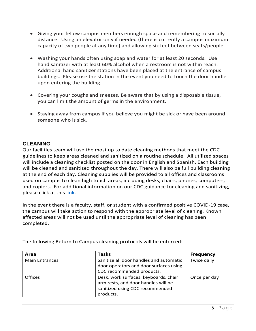- Giving your fellow campus members enough space and remembering to socially distance. Using an elevator only if needed (there is currently a campus maximum capacity of two people at any time) and allowing six feet between seats/people.
- Washing your hands often using soap and water for at least 20 seconds. Use hand sanitizer with at least 60% alcohol when a restroom is not within reach. Additional hand sanitizer stations have been placed at the entrance of campus buildings. Please use the station in the event you need to touch the door handle upon entering the building.
- Covering your coughs and sneezes. Be aware that by using a disposable tissue, you can limit the amount of germs in the environment.
- Staying away from campus if you believe you might be sick or have been around someone who is sick.

#### <span id="page-4-0"></span>**CLEANING**

Our facilities team will use the most up to date cleaning methods that meet the CDC guidelines to keep areas cleaned and sanitized on a routine schedule. All utilized spaces will include a cleaning checklist posted on the door in English and Spanish. Each building will be cleaned and sanitized throughout the day. There will also be full building cleaning at the end of each day. Cleaning supplies will be provided to all offices and classrooms used on campus to clean high touch areas, including desks, chairs, phones, computers, and copiers. For additional information on our CDC guidance for cleaning and sanitizing, please click at this [link.](https://www.cdc.gov/coronavirus/2019-ncov/community/pdf/Reopening_America_Guidance.pdf)

In the event there is a faculty, staff, or student with a confirmed positive COVID-19 case, the campus will take action to respond with the appropriate level of cleaning. Known affected areas will not be used until the appropriate level of cleaning has been completed.

| Area                  | Tasks                                                                                                                        | <b>Frequency</b> |
|-----------------------|------------------------------------------------------------------------------------------------------------------------------|------------------|
| <b>Main Entrances</b> | Sanitize all door handles and automatic<br>door operators and door surfaces using<br>CDC recommended products.               | Twice daily      |
| <b>Offices</b>        | Desk, work surfaces, keyboards, chair<br>arm rests, and door handles will be<br>sanitized using CDC recommended<br>products. | Once per day     |

The following Return to Campus cleaning protocols will be enforced: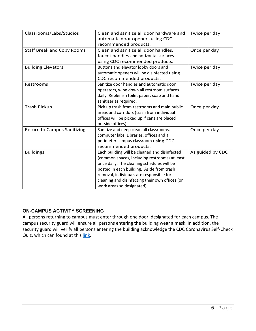| Classrooms/Labs/Studios            | Clean and sanitize all door hardware and<br>automatic door openers using CDC<br>recommended products.                                                                                                                                                                                                                  | Twice per day    |
|------------------------------------|------------------------------------------------------------------------------------------------------------------------------------------------------------------------------------------------------------------------------------------------------------------------------------------------------------------------|------------------|
| <b>Staff Break and Copy Rooms</b>  | Clean and sanitize all door handles,<br>faucet handles and horizontal surfaces<br>using CDC recommended products.                                                                                                                                                                                                      | Once per day     |
| <b>Building Elevators</b>          | Buttons and elevator lobby doors and<br>automatic openers will be disinfected using<br>CDC recommended products.                                                                                                                                                                                                       | Twice per day    |
| Restrooms                          | Sanitize door handles and automatic door<br>operators, wipe down all restroom surfaces<br>daily. Replenish toilet paper, soap and hand<br>sanitizer as required.                                                                                                                                                       | Twice per day    |
| <b>Trash Pickup</b>                | Pick up trash from restrooms and main public<br>areas and corridors (trash from individual<br>offices will be picked up if cans are placed<br>outside offices).                                                                                                                                                        | Once per day     |
| <b>Return to Campus Sanitizing</b> | Sanitize and deep clean all classrooms,<br>computer labs, Libraries, offices and all<br>perimeter campus classroom using CDC<br>recommended products.                                                                                                                                                                  | Once per day     |
| <b>Buildings</b>                   | Each building will be cleaned and disinfected<br>(common spaces, including restrooms) at least<br>once daily. The cleaning schedules will be<br>posted in each building. Aside from trash<br>removal, individuals are responsible for<br>cleaning and disinfecting their own offices (or<br>work areas so designated). | As guided by CDC |

#### <span id="page-5-0"></span>**ON-CAMPUS ACTIVITY SCREENING**

All persons returning to campus must enter through one door, designated for each campus. The campus security guard will ensure all persons entering the building wear a mask. In addition, the security guard will verify all persons entering the building acknowledge the CDC Coronavirus Self-Check Quiz, which can found at thi[s link.](https://www.cdc.gov/coronavirus/2019-nCoV/index.html)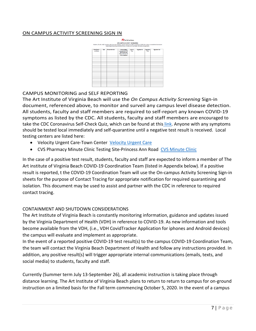#### ON CAMPUS ACTIVITY SCREENING SIGN IN



#### <span id="page-6-0"></span>CAMPUS MONITORING and SELF REPORTING

The Art Institute of Virginia Beach will use the *On Campus Activity Screening* Sign-in document, referenced above, to monitor and surveil any campus level disease detection. All students, faculty and staff members are required to self-report any known COVID-19 symptoms as listed by the CDC. All students, faculty and staff members are encouraged to take the CDC Coronavirus Self-Check Quiz, which can be found at this [link.](https://www.cdc.gov/coronavirus/2019-nCoV/index.html) Anyone with any symptoms should be tested local immediately and self-quarantine until a negative test result is received. Local testing centers are listed here:

- [Velocity Urgent Care](https://www.google.com/search?q=velocity%20urgent%20care%20virginia%20beach&rlz=1C1GCEA_enUS846US846&oq=Velocity&aqs=chrome.5.0l6.4196j0j8&sourceid=chrome&ie=UTF-8&npsic=0&rflfq=1&rlha=0&rllag=36828756,-76104330,3490&tbm=lcl&rldimm=10540197878193151048&lqi=CiN2ZWxvY2l0eSB1cmdlbnQgY2FyZSB2aXJnaW5pYSBiZWFjaFo7ChR2ZWxvY2l0eSB1cmdlbnQgY2FyZSIjdmVsb2NpdHkgdXJnZW50IGNhcmUgdmlyZ2luaWEgYmVhY2g&ved=2ahUKEwjcr62nrI7qAhXjRt8KHWD7DWUQvS4wAHoECAwQJQ&rldoc=1&tbs=lrf:!1m5!1u8!2m3!8m2!1u8050!3e1!1m4!1u17!2m2!17m1!1e2!1m4!1u3!2m2!3m1!1e1!1m4!1u2!2m2!2m1!1e1!1m5!1u15!2m2!15m1!1shas_1wheelchair_1accessible_1entrance!4e2!2m4!1e17!4m2!17m1!1e2!2m1!1e2!2m1!1e3!3sIAE,lf:1,lf_ui:2&rlst=f#rlfi=hd:;si:10540197878193151048,l,CiN2ZWxvY2l0eSB1cmdlbnQgY2FyZSB2aXJnaW5pYSBiZWFjaFo7ChR2ZWxvY2l0eSB1cmdlbnQgY2FyZSIjdmVsb2NpdHkgdXJnZW50IGNhcmUgdmlyZ2luaWEgYmVhY2g;mv:%5B%5B36.8477411,-76.0069267%5D,%5B36.7602302,-76.1467643%5D%5D;tbs:lrf:!1m4!1u17!2m2!17m1!1e2!1m4!1u3!2m2!3m1!1e1!1m4!1u2!2m2!2m1!1e1!2m1!1e2!2m1!1e3!2m4!1e17!4m2!17m1!1e2!3sIAE,lf:1,lf_ui:2)-Town Center Velocity Urgent Care
- CVS Pharmacy Minute Clinic Testing Site-Princess Ann Road [CVS Minute Clinic](https://www.cvs.com/store-locator/cvs-pharmacy-address/4500+Princess+Anne+Road-Virginia+Beach-VA-23462/storeid=4935?WT.mc_id=LS_GOOGLE_FS_4935)

In the case of a positive test result, students, faculty and staff are expected to inform a member of The Art institute of Virginia Beach COVID-19 Coordination Team (listed in Appendix below). If a positive result is reported, t the COVID-19 Coordination Team will use the On-campus Activity Screening Sign-in sheets for the purpose of Contact Tracing for appropriate notification for required quarantining and isolation. This document may be used to assist and partner with the CDC in reference to required contact tracing.

#### <span id="page-6-1"></span>CONTAINMENT AND SHUTDOWN CONSIDERATIONS

The Art Institute of Virginia Beach is constantly monitoring information, guidance and updates issued by the Virginia Department of Health (VDH) in reference to COVID-19. As new information and tools become available from the VDH, (i.e., VDH CovidTracker Application for iphones and Android devices) the campus will evaluate and implement as appropriate.

In the event of a reported positive COVID-19 test result(s) to the campus COVID-19 Coordination Team, the team will contact the Virginia Beach Department of Health and follow any instructions provided. In addition, any positive result(s) will trigger appropriate internal communications (emails, texts, and social media) to students, faculty and staff.

Currently (Summer term July 13-September 26), all academic instruction is taking place through distance learning. The Art Institute of Virginia Beach plans to return to return to campus for on-ground instruction on a limited basis for the Fall term commencing October 5, 2020. In the event of a campus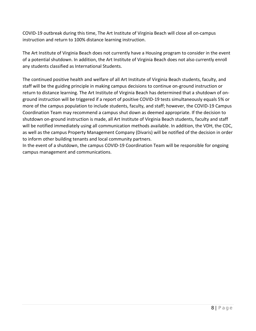COVID-19 outbreak during this time, The Art Institute of Virginia Beach will close all on-campus instruction and return to 100% distance learning instruction.

The Art Institute of Virginia Beach does not currently have a Housing program to consider in the event of a potential shutdown. In addition, the Art Institute of Virginia Beach does not also currently enroll any students classified as International Students.

The continued positive health and welfare of all Art Institute of Virginia Beach students, faculty, and staff will be the guiding principle in making campus decisions to continue on-ground instruction or return to distance learning. The Art Institute of Virginia Beach has determined that a shutdown of onground instruction will be triggered if a report of positive COVID-19 tests simultaneously equals 5% or more of the campus population to include students, faculty, and staff; however, the COVID-19 Campus Coordination Team may recommend a campus shut down as deemed appropriate. If the decision to shutdown on-ground instruction is made, all Art Institute of Virginia Beach students, faculty and staff will be notified immediately using all communication methods available. In addition, the VDH, the CDC, as well as the campus Property Management Company (Divaris) will be notified of the decision in order to inform other building tenants and local community partners.

In the event of a shutdown, the campus COVID-19 Coordination Team will be responsible for ongoing campus management and communications.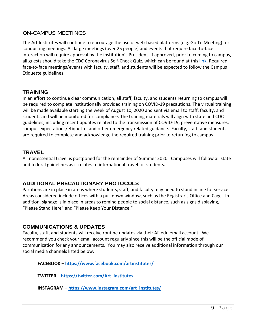#### ON-CAMPUS MEETINGS

The Art Institutes will continue to encourage the use of web-based platforms (e.g. Go To Meeting) for conducting meetings. All large meetings (over 25 people) and events that require face-to-face interaction will require approval by the institution's President. If approved, prior to coming to campus, all guests should take the CDC Coronavirus Self-Check Quiz, which can be found at this [link.](https://www.cdc.gov/coronavirus/2019-nCoV/index.html) Required face-to-face meetings/events with faculty, staff, and students will be expected to follow the Campus Etiquette guidelines.

#### <span id="page-8-0"></span>**TRAINING**

In an effort to continue clear communication, all staff, faculty, and students returning to campus will be required to complete institutionally provided training on COVID-19 precautions. The virtual training will be made available starting the week of August 10, 2020 and sent via email to staff, faculty, and students and will be monitored for compliance. The training materials will align with state and CDC guidelines, including recent updates related to the transmission of COVID-19, preventative measures, campus expectations/etiquette, and other emergency related guidance. Faculty, staff, and students are required to complete and acknowledge the required training prior to returning to campus.

#### <span id="page-8-1"></span>**TRAVEL**

All nonessential travel is postponed for the remainder of Summer 2020. Campuses will follow all state and federal guidelines as it relates to international travel for students.

#### <span id="page-8-2"></span>**ADDITIONAL PRECAUTIONARY PROTOCOLS**

Partitions are in place in areas where students, staff, and faculty may need to stand in line for service. Areas considered include offices with a pull down window, such as the Registrar's Office and Cage. In addition, signage is in place in areas to remind people to social distance, such as signs displaying, "Please Stand Here" and "Please Keep Your Distance."

#### <span id="page-8-3"></span>**COMMUNICATIONS & UPDATES**

Faculty, staff, and students will receive routine updates via their Aii.edu email account. We recommend you check your email account regularly since this will be the official mode of communication for any announcements. You may also receive additional information through our social media channels listed below:

**FACEBOOK – <https://www.facebook.com/artinstitutes/>**

**TWITTER – [https://twitter.com/Art\\_Institutes](https://twitter.com/Art_Institutes)**

**INSTAGRAM – [https://www.instagram.com/art\\_institutes/](https://www.instagram.com/art_institutes/)**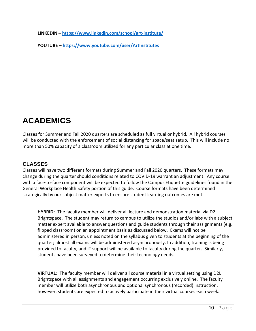**LINKEDIN – <https://www.linkedin.com/school/art-institute/>**

**YOUTUBE – <https://www.youtube.com/user/ArtInstitutes>**

## <span id="page-9-0"></span>**ACADEMICS**

Classes for Summer and Fall 2020 quarters are scheduled as full virtual or hybrid. All hybrid courses will be conducted with the enforcement of social distancing for space/seat setup. This will include no more than 50% capacity of a classroom utilized for any particular class at one time.

#### <span id="page-9-1"></span>**CLASSES**

Classes will have two different formats during Summer and Fall 2020 quarters. These formats may change during the quarter should conditions related to COVID-19 warrant an adjustment. Any course with a face-to-face component will be expected to follow the Campus Etiquette guidelines found in the General Workplace Health Safety portion of this guide. Course formats have been determined strategically by our subject matter experts to ensure student learning outcomes are met.

**HYBRID**:The faculty member will deliver all lecture and demonstration material via D2L Brightspace. The student may return to campus to utilize the studios and/or labs with a subject matter expert available to answer questions and guide students through their assignments (e.g. flipped classroom) on an appointment basis as discussed below. Exams will not be administered in person, unless noted on the syllabus given to students at the beginning of the quarter; almost all exams will be administered asynchronously. In addition, training is being provided to faculty, and IT support will be available to faculty during the quarter. Similarly, students have been surveyed to determine their technology needs.

**VIRTUAL**:The faculty member will deliver all course material in a virtual setting using D2L Brightspace with all assignments and engagement occurring exclusively online. The faculty member will utilize both asynchronous and optional synchronous (recorded) instruction; however, students are expected to actively participate in their virtual courses each week.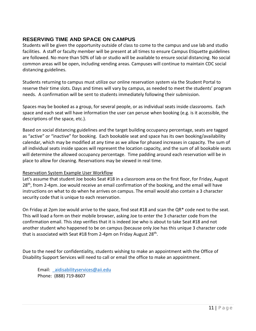#### <span id="page-10-0"></span>**RESERVING TIME AND SPACE ON CAMPUS**

Students will be given the opportunity outside of class to come to the campus and use lab and studio facilities. A staff or faculty member will be present at all times to ensure Campus Etiquette guidelines are followed. No more than 50% of lab or studio will be available to ensure social distancing. No social common areas will be open, including vending areas. Campuses will continue to maintain CDC social distancing guidelines.

Students returning to campus must utilize our online reservation system via the Student Portal to reserve their time slots. Days and times will vary by campus, as needed to meet the students' program needs. A confirmation will be sent to students immediately following their submission.

Spaces may be booked as a group, for several people, or as individual seats inside classrooms. Each space and each seat will have information the user can peruse when booking (e.g. is it accessible, the descriptions of the space, etc.).

Based on social distancing guidelines and the target building occupancy percentage, seats are tagged as "active" or "inactive" for booking. Each bookable seat and space has its own booking/availability calendar, which may be modified at any time as we allow for phased increases in capacity. The sum of all individual seats inside spaces will represent the location capacity, and the sum of all bookable seats will determine the allowed occupancy percentage. Time padding around each reservation will be in place to allow for cleaning. Reservations may be viewed in real time.

#### Reservation System Example User Workflow

Let's assume that student Joe books Seat #18 in a classroom area on the first floor, for Friday, August  $28<sup>th</sup>$ , from 2-4pm. Joe would receive an email confirmation of the booking, and the email will have instructions on what to do when he arrives on campus. The email would also contain a 3 character security code that is unique to each reservation.

On Friday at 2pm Joe would arrive to the space, find seat #18 and scan the QR\* code next to the seat. This will load a form on their mobile browser, asking Joe to enter the 3 character code from the confirmation email. This step verifies that it is indeed Joe who is about to take Seat #18 and not another student who happened to be on campus (because only Joe has this unique 3 character code that is associated with Seat #18 from 2-4pm on Friday August  $28<sup>th</sup>$ .

Due to the need for confidentiality, students wishing to make an appointment with the Office of Disability Support Services will need to call or email the office to make an appointment.

Email: [\\_aidisabilityservices@aii.edu](mailto:_aidisabilityservices@aii.edu) Phone: (888) 719-8607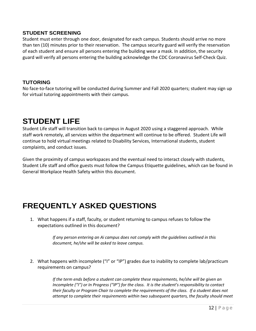#### <span id="page-11-0"></span>**STUDENT SCREENING**

Student must enter through one door, designated for each campus. Students should arrive no more than ten (10) minutes prior to their reservation. The campus security guard will verify the reservation of each student and ensure all persons entering the building wear a mask. In addition, the security guard will verify all persons entering the building acknowledge the CDC Coronavirus Self-Check Quiz.

#### <span id="page-11-1"></span>**TUTORING**

No face-to-face tutoring will be conducted during Summer and Fall 2020 quarters; student may sign up for virtual tutoring appointments with their campus.

## <span id="page-11-2"></span>**STUDENT LIFE**

Student Life staff will transition back to campus in August 2020 using a staggered approach. While staff work remotely, all services within the department will continue to be offered. Student Life will continue to hold virtual meetings related to Disability Services, International students, student complaints, and conduct issues.

Given the proximity of campus workspaces and the eventual need to interact closely with students, Student Life staff and office guests must follow the Campus Etiquette guidelines, which can be found in General Workplace Health Safety within this document.

## <span id="page-11-3"></span>**FREQUENTLY ASKED QUESTIONS**

1. What happens if a staff, faculty, or student returning to campus refuses to follow the expectations outlined in this document?

> *If any person entering an Ai campus does not comply with the guidelines outlined in this document, he/she will be asked to leave campus.*

2. What happens with incomplete ("I" or "IP") grades due to inability to complete lab/practicum requirements on campus?

> *If the term ends before a student can complete these requirements, he/she will be given an Incomplete ("I") or In Progress ("IP") for the class. It is the student's responsibility to contact their faculty or Program Chair to complete the requirements of the class. If a student does not attempt to complete their requirements within two subsequent quarters, the faculty should meet*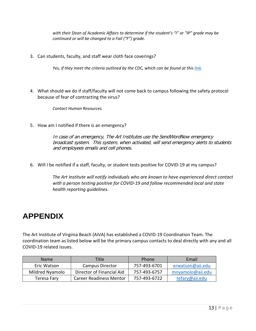*with their Dean of Academic Affairs to determine if the student's "I" or "IP" grade may be continued or will be changed to a Fail ("F") grade.*

3. Can students, faculty, and staff wear cloth face coverings?

Yes, if they meet the criteria outlined by the CDC, which can be found at this [link.](https://www.cdc.gov/coronavirus/2019-ncov/downloads/DIY-cloth-face-covering-instructions.pdf)

4. What should we do if staff/faculty will not come back to campus following the safety protocol because of fear of contracting the virus?

*Contact Human Resources.*

5. How am I notified if there is an emergency?

In case of an emergency, The Art Institutes use the SendWordNow emergency broadcast system. This system, when activated, will send emergency alerts to students and employees emails and cell phones.

6. Will I be notified if a staff, faculty, or student tests positive for COVID-19 at my campus?

*The Art Institute will notify individuals who are known to have experienced direct contact with a person testing positive for COVID-19 and follow recommended local and state health reporting guidelines.*

## <span id="page-12-0"></span>**APPENDIX**

The Art Institute of Virginia Beach (AiVA) has established a COVID-19 Coordination Team. The coordination team as listed below will be the primary campus contacts to deal directly with any and all COVID-19 related issues.

| <b>Name</b>     | Title                          | Phone        | Email            |
|-----------------|--------------------------------|--------------|------------------|
| Eric Watson     | Campus Director                | 757-493-6701 | erwatson@aii.edu |
| Mildred Nyamolo | Director of Financial Aid      | 757-493-6757 | mnyamolo@aii.edu |
| Teresa Fary     | <b>Career Readiness Mentor</b> | 757-493-6722 | tefary@aii.edu   |